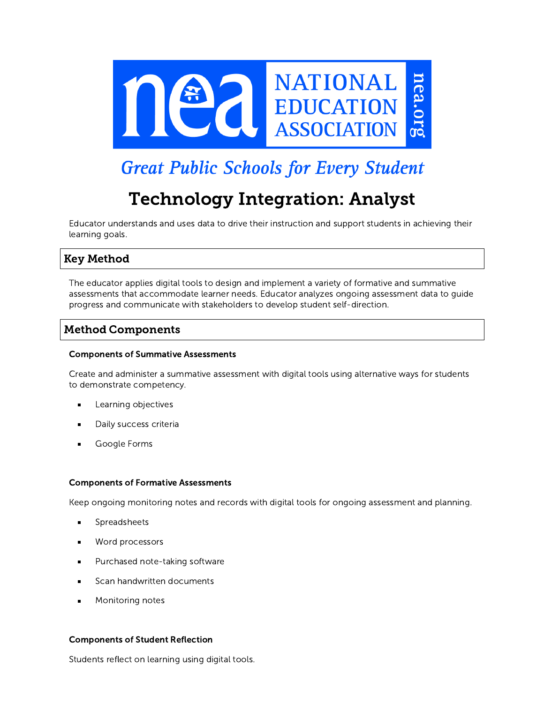

# **Great Public Schools for Every Student**

# Technology Integration: Analyst

Educator understands and uses data to drive their instruction and support students in achieving their learning goals.

# Key Method

The educator applies digital tools to design and implement a variety of formative and summative assessments that accommodate learner needs. Educator analyzes ongoing assessment data to guide progress and communicate with stakeholders to develop student self-direction.

## Method Components

#### Components of Summative Assessments

Create and administer a summative assessment with digital tools using alternative ways for students to demonstrate competency.

- Learning objectives
- Daily success criteria
- Google Forms

#### Components of Formative Assessments

Keep ongoing monitoring notes and records with digital tools for ongoing assessment and planning.

- Spreadsheets
- Word processors  $\blacksquare$
- Purchased note-taking software
- Scan handwritten documents
- Monitoring notes

#### Components of Student Reflection

Students reflect on learning using digital tools.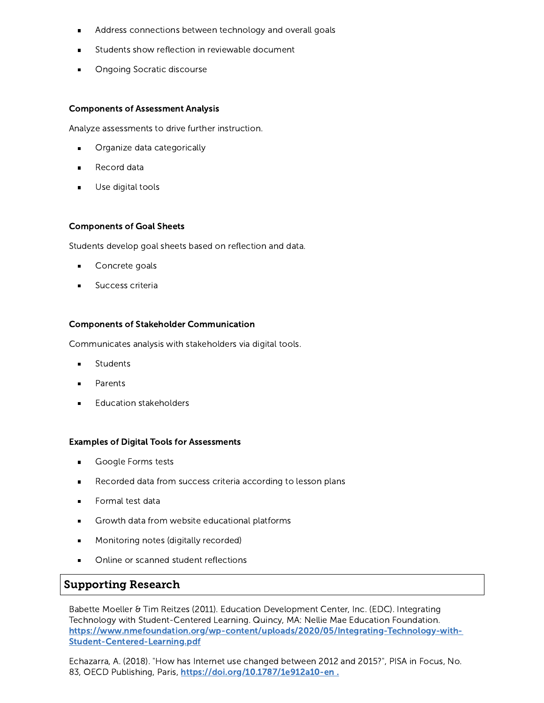- Address connections between technology and overall goals
- Students show reflection in reviewable document
- Ongoing Socratic discourse

#### Components of Assessment Analysis

Analyze assessments to drive further instruction.

- Organize data categorically
- Record data
- Use digital tools

#### Components of Goal Sheets

Students develop goal sheets based on reflection and data.

- Concrete goals
- Success criteria

#### Components of Stakeholder Communication

Communicates analysis with stakeholders via digital tools.

- **Students**  $\blacksquare$
- Parents
- Education stakeholders

#### Examples of Digital Tools for Assessments

- Google Forms tests
- Recorded data from success criteria according to lesson plans
- Formal test data
- Growth data from website educational platforms
- Monitoring notes (digitally recorded)
- Online or scanned student reflections

## Supporting Research

Babette Moeller & Tim Reitzes (2011). Education Development Center, Inc. (EDC). Integrating Technology with Student-Centered Learning. Quincy, MA: Nellie Mae Education Foundation. [https://www.nmefoundation.org/wp-content/uploads/2020/05/Integrating-Technology-with-](https://www.nmefoundation.org/wp-content/uploads/2020/05/Integrating-Technology-with-Student-Centered-Learning.pdf)Student-Centered-Learning.pdf

Echazarra, A. (2018). "How has Internet use changed between 2012 and 2015?", PISA in Focus, No. 83, OECD Publishing, Paris, <https://doi.org/10.1787/1e912a10-en>.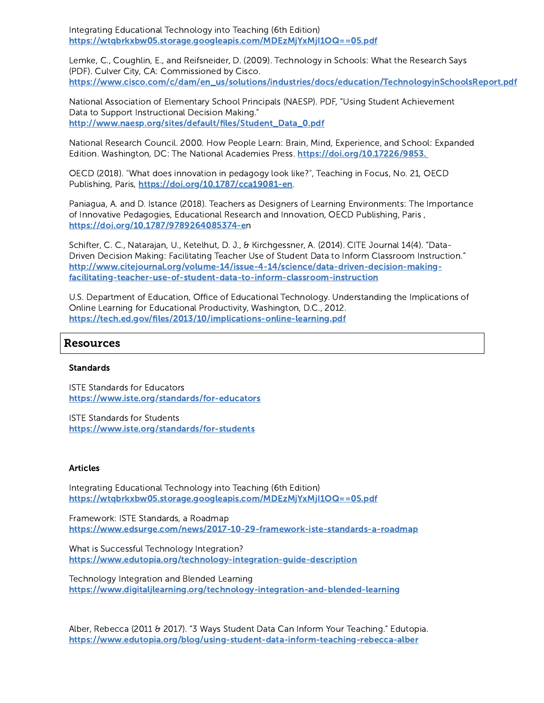Integrating Educational Technology into Teaching (6th Edition) <https://wtqbrkxbw05.storage.googleapis.com/MDEzMjYxMjI1OQ==05.pdf>

Lemke, C., Coughlin, E., and Reifsneider, D. (2009). Technology in Schools: What the Research Says (PDF). Culver City, CA: Commissioned by Cisco. [https://www.cisco.com/c/dam/en\\_us/solutions/industries/docs/education/TechnologyinSchoolsReport.pdf](https://www.cisco.com/c/dam/en_us/solutions/industries/docs/education/TechnologyinSchoolsReport.pdf)

National Association of Elementary School Principals (NAESP). PDF, "Using Student Achievement Data to Support Instructional Decision Making." [http://www.naesp.org/sites/default/files/Student\\_Data\\_0.pdf](http://www.naesp.org/sites/default/files/Student_Data_0.pdf)

National Research Council. 2000. How People Learn: Brain, Mind, Experience, and School: Expanded Edition. Washington, DC: The National Academies Press. [https://doi.org/10.17226/9853.](https://doi.org/10.17226/9853)

OECD (2018). "What does innovation in pedagogy look like?", Teaching in Focus, No. 21, OECD Publishing, Paris, [https://doi.org/10.1787/cca19081-en.](https://doi.org/10.1787/cca19081-en)

Paniagua, A. and D. Istance (2018). Teachers as Designers of Learning Environments: The Importance of Innovative Pedagogies, Educational Research and Innovation, OECD Publishing, Paris , [https://doi.org/10.1787/9789264085374-e](https://doi.org/10.1787/9789264085374-en)n

Schifter, C. C., Natarajan, U., Ketelhut, D. J., & Kirchgessner, A. (2014). CITE Journal 14(4). "Data-Driven Decision Making: Facilitating Teacher Use of Student Data to Inform Classroom Instruction." [http://www.citejournal.org/volume-14/issue-4-14/science/data-driven-decision-making](http://www.citejournal.org/volume-14/issue-4-14/science/data-driven-decision-making-facilitating-teacher-use-of-student-data-to-inform-classroom-instruction)facilitating-teacher-use-of-student-data-to-inform-classroom-instruction

U.S. Department of Education, Office of Educational Technology. Understanding the Implications of Online Learning for Educational Productivity, Washington, D.C., 2012. <https://tech.ed.gov/files/2013/10/implications-online-learning.pdf>

## Resources

#### **Standards**

ISTE Standards for Educators <https://www.iste.org/standards/for-educators>

ISTE Standards for Students <https://www.iste.org/standards/for-students>

#### **Articles**

Integrating Educational Technology into Teaching (6th Edition) <https://wtqbrkxbw05.storage.googleapis.com/MDEzMjYxMjI1OQ==05.pdf>

Framework: ISTE Standards, a Roadmap <https://www.edsurge.com/news/2017-10-29-framework-iste-standards-a-roadmap>

What is Successful Technology Integration? <https://www.edutopia.org/technology-integration-guide-description>

Technology Integration and Blended Learning <https://www.digitaljlearning.org/technology-integration-and-blended-learning>

Alber, Rebecca (2011 & 2017). "3 Ways Student Data Can Inform Your Teaching." Edutopia. <https://www.edutopia.org/blog/using-student-data-inform-teaching-rebecca-alber>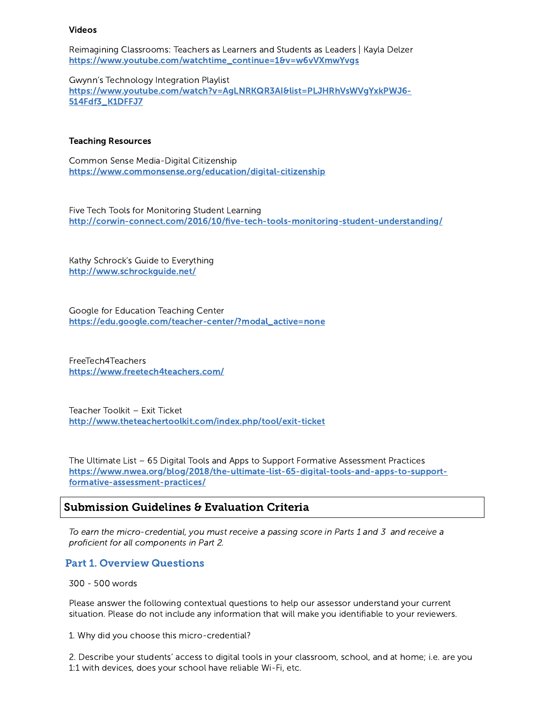#### Videos

Reimagining Classrooms: Teachers as Learners and Students as Leaders | Kayla Delzer [https://www.youtube.com/watchtime\\_continue=1&v=w6vVXmwYvgs](https://www.youtube.com/watch?time_continue=1&v=w6vVXmwYvgs)

Gwynn's Technology Integration Playlist [https://www.youtube.com/watch?v=AgLNRKQR3AI&list=PLJHRhVsWVgYxkPWJ6-](https://www.youtube.com/watch?v=AgLNRKQR3AI&list=PLJHRhVsWVgYxkPWJ6-514Fdf3_K1DFFJ7) 514Fdf3\_K1DFFJ7

#### Teaching Resources

Common Sense Media-Digital Citizenship <https://www.commonsense.org/education/digital-citizenship>

Five Tech Tools for Monitoring Student Learning <http://corwin-connect.com/2016/10/five-tech-tools-monitoring-student-understanding/>

Kathy Schrock's Guide to Everything <http://www.schrockguide.net/>

Google for Education Teaching Center [https://edu.google.com/teacher-center/?modal\\_active=none](https://edu.google.com/teacher-center/?modal_active=none)

FreeTech4Teachers <https://www.freetech4teachers.com/>

Teacher Toolkit – Exit Ticket <http://www.theteachertoolkit.com/index.php/tool/exit-ticket>

The Ultimate List – 65 Digital Tools and Apps to Support Formative Assessment Practices [https://www.nwea.org/blog/2018/the-ultimate-list-65-digital-tools-and-apps-to-support](https://www.nwea.org/blog/2018/the-ultimate-list-65-digital-tools-and-apps-to-support-formative-assessment-practices/)formative-assessment-practices/

## Submission Guidelines & Evaluation Criteria

To earn the micro-credential, you must receive a passing score in Parts 1 and 3 and receive a proficient for all components in Part 2.

### Part 1. Overview Questions

300 - 500 words

Please answer the following contextual questions to help our assessor understand your current situation. Please do not include any information that will make you identifiable to your reviewers.

1. Why did you choose this micro-credential?

2. Describe your students' access to digital tools in your classroom, school, and at home; i.e. are you 1:1 with devices, does your school have reliable Wi-Fi, etc.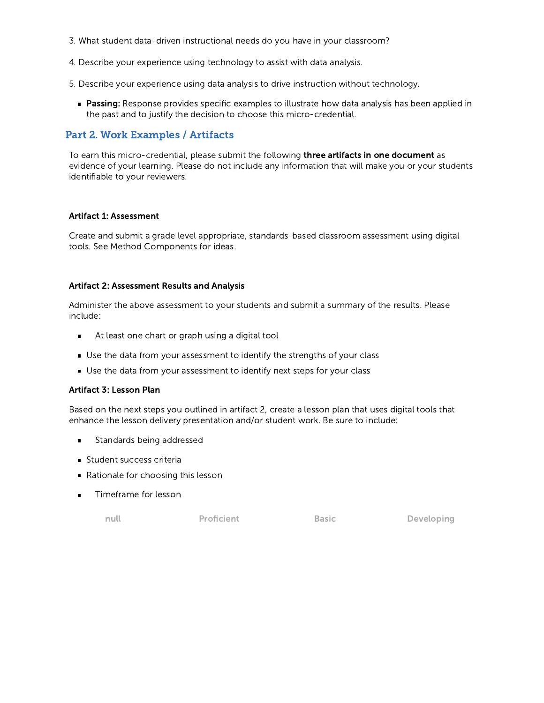- 3. What student data-driven instructional needs do you have in your classroom?
- 4. Describe your experience using technology to assist with data analysis.
- 5. Describe your experience using data analysis to drive instruction without technology.
	- **Passing:** Response provides specific examples to illustrate how data analysis has been applied in the past and to justify the decision to choose this micro-credential.

## Part 2. Work Examples / Artifacts

To earn this micro-credential, please submit the following three artifacts in one document as evidence of your learning. Please do not include any information that will make you or your students identifiable to your reviewers.

#### Artifact 1: Assessment

Create and submit a grade level appropriate, standards-based classroom assessment using digital tools. See Method Components for ideas.

#### Artifact 2: Assessment Results and Analysis

Administer the above assessment to your students and submit a summary of the results. Please include:

- At least one chart or graph using a digital tool  $\blacksquare$
- Use the data from your assessment to identify the strengths of your class
- Use the data from your assessment to identify next steps for your class

#### Artifact 3: Lesson Plan

Based on the next steps you outlined in artifact 2, create a lesson plan that uses digital tools that enhance the lesson delivery presentation and/or student work. Be sure to include:

- Standards being addressed
- **Student success criteria**
- Rationale for choosing this lesson
- Timeframe for lesson

null Proficient Basic Developing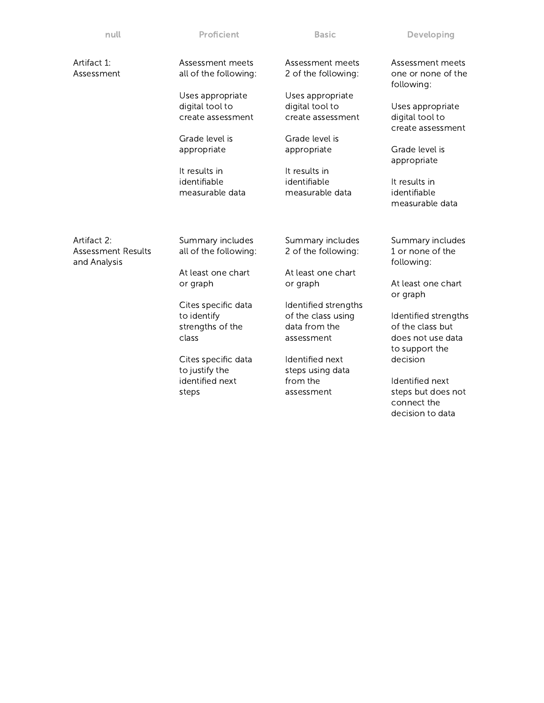| Proficient                                                        | <b>Basic</b>                                                              | Developing                                                                           |
|-------------------------------------------------------------------|---------------------------------------------------------------------------|--------------------------------------------------------------------------------------|
| Assessment meets<br>all of the following:                         | Assessment meets<br>2 of the following:                                   | Assessment meets<br>one or none of the<br>following:                                 |
| Uses appropriate<br>digital tool to<br>create assessment          | Uses appropriate<br>digital tool to<br>create assessment                  | Uses appropriate<br>digital tool to<br>create assessment                             |
| Grade level is<br>appropriate                                     | Grade level is<br>appropriate                                             | Grade level is<br>appropriate                                                        |
| identifiable<br>measurable data                                   | identifiable<br>measurable data                                           | It results in<br>identifiable<br>measurable data                                     |
| Summary includes<br>all of the following:                         | Summary includes<br>2 of the following:                                   | Summary includes<br>1 or none of the<br>following:                                   |
| At least one chart<br>or graph                                    | At least one chart<br>or graph                                            | At least one chart<br>or graph                                                       |
| Cites specific data<br>to identify<br>strengths of the<br>class   | Identified strengths<br>of the class using<br>data from the<br>assessment | Identified strengths<br>of the class but<br>does not use data<br>to support the      |
| Cites specific data<br>to justify the<br>identified next<br>steps | Identified next<br>steps using data<br>from the<br>assessment             | decision<br>Identified next<br>steps but does not<br>connect the<br>decision to data |
|                                                                   | It results in                                                             | It results in                                                                        |